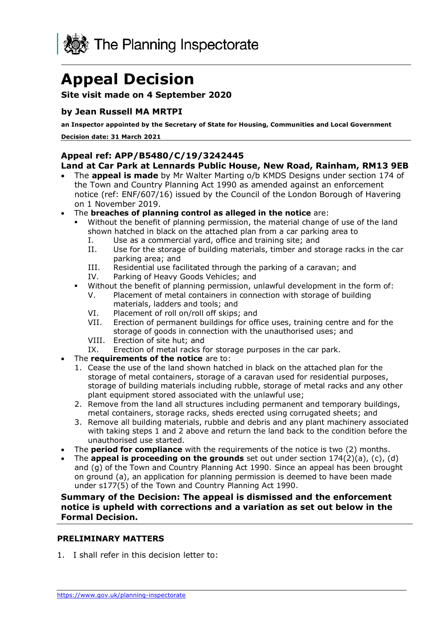

# **Appeal Decision**

#### **Site visit made on 4 September 2020**

### **by Jean Russell MA MRTPI**

**an Inspector appointed by the Secretary of State for Housing, Communities and Local Government** 

 **Decision date: 31 March 2021** 

### **Land at Car Park at Lennards Public House, New Road, Rainham, RM13 9EB Appeal ref: APP/B5480/C/19/3242445**

- • The **appeal is made** by Mr Walter Marting o/b KMDS Designs under section 174 of the Town and Country Planning Act 1990 as amended against an enforcement notice (ref: ENF/607/16) issued by the Council of the London Borough of Havering on 1 November 2019.
- The **breaches of planning control as alleged in the notice** are:
	- ▪ Without the benefit of planning permission, the material change of use of the land shown hatched in black on the attached plan from a car parking area to
		- I. Use as a commercial yard, office and training site; and
		- II. Use for the storage of building materials, timber and storage racks in the car parking area; and
		- III. Residential use facilitated through the parking of a caravan; and
		- IV. Parking of Heavy Goods Vehicles; and
	- ▪ Without the benefit of planning permission, unlawful development in the form of:
		- V. Placement of metal containers in connection with storage of building materials, ladders and tools; and
		- VI. Placement of roll on/roll off skips; and
		- VII. Erection of permanent buildings for office uses, training centre and for the storage of goods in connection with the unauthorised uses; and
		- VIII. Erection of site hut; and
		- IX. Erection of metal racks for storage purposes in the car park.
- The **requirements of the notice** are to:
	- 1. Cease the use of the land shown hatched in black on the attached plan for the storage of metal containers, storage of a caravan used for residential purposes, storage of building materials including rubble, storage of metal racks and any other plant equipment stored associated with the unlawful use;
	- 2. Remove from the land all structures including permanent and temporary buildings, metal containers, storage racks, sheds erected using corrugated sheets; and
	- 3. Remove all building materials, rubble and debris and any plant machinery associated with taking steps 1 and 2 above and return the land back to the condition before the unauthorised use started.
- The **period for compliance** with the requirements of the notice is two (2) months.
- • The **appeal is proceeding on the grounds** set out under section 174(2)(a), (c), (d) and (g) of the Town and Country Planning Act 1990. Since an appeal has been brought on ground (a), an application for planning permission is deemed to have been made under s177(5) of the Town and Country Planning Act 1990.

 **Summary of the Decision: The appeal is dismissed and the enforcement notice is upheld with corrections and a variation as set out below in the Formal Decision.** 

#### **PRELIMINARY MATTERS**

1. I shall refer in this decision letter to: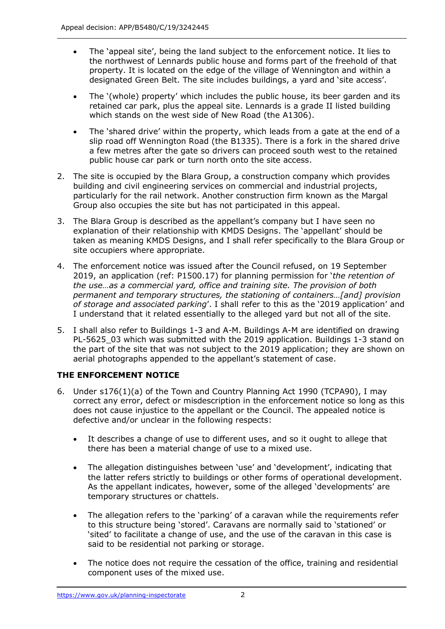- • The 'appeal site', being the land subject to the enforcement notice. It lies to the northwest of Lennards public house and forms part of the freehold of that property. It is located on the edge of the village of Wennington and within a designated Green Belt. The site includes buildings, a yard and 'site access'.
- retained car park, plus the appeal site. Lennards is a grade II listed building which stands on the west side of New Road (the A1306). • The '(whole) property' which includes the public house, its beer garden and its
- • The 'shared drive' within the property, which leads from a gate at the end of a slip road off Wennington Road (the B1335). There is a fork in the shared drive a few metres after the gate so drivers can proceed south west to the retained public house car park or turn north onto the site access.
- 2. The site is occupied by the Blara Group, a construction company which provides building and civil engineering services on commercial and industrial projects, particularly for the rail network. Another construction firm known as the Margal Group also occupies the site but has not participated in this appeal.
- 3. The Blara Group is described as the appellant's company but I have seen no explanation of their relationship with KMDS Designs. The 'appellant' should be taken as meaning KMDS Designs, and I shall refer specifically to the Blara Group or site occupiers where appropriate.
- 4. The enforcement notice was issued after the Council refused, on 19 September 2019, an application (ref: P1500.17) for planning permission for '*the retention of the use…as a commercial yard, office and training site. The provision of both permanent and temporary structures, the stationing of containers…[and] provision of storage and associated parking*'. I shall refer to this as the '2019 application' and I understand that it related essentially to the alleged yard but not all of the site.
- 5. I shall also refer to Buildings 1-3 and A-M. Buildings A-M are identified on drawing PL-5625\_03 which was submitted with the 2019 application. Buildings 1-3 stand on the part of the site that was not subject to the 2019 application; they are shown on aerial photographs appended to the appellant's statement of case.

## **THE ENFORCEMENT NOTICE**

- 6. Under s176(1)(a) of the Town and Country Planning Act 1990 (TCPA90), I may correct any error, defect or misdescription in the enforcement notice so long as this does not cause injustice to the appellant or the Council. The appealed notice is defective and/or unclear in the following respects:
	- • It describes a change of use to different uses, and so it ought to allege that there has been a material change of use to a mixed use.
	- • The allegation distinguishes between 'use' and 'development', indicating that the latter refers strictly to buildings or other forms of operational development. As the appellant indicates, however, some of the alleged 'developments' are temporary structures or chattels.
	- • The allegation refers to the 'parking' of a caravan while the requirements refer to this structure being 'stored'. Caravans are normally said to 'stationed' or 'sited' to facilitate a change of use, and the use of the caravan in this case is said to be residential not parking or storage.
	- • The notice does not require the cessation of the office, training and residential component uses of the mixed use.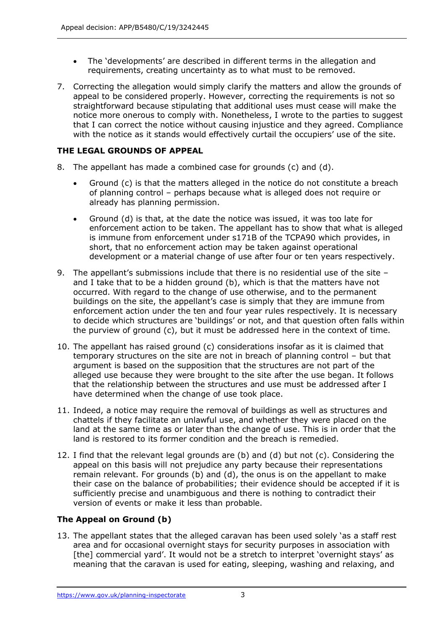- • The 'developments' are described in different terms in the allegation and requirements, creating uncertainty as to what must to be removed.
- 7. Correcting the allegation would simply clarify the matters and allow the grounds of appeal to be considered properly. However, correcting the requirements is not so straightforward because stipulating that additional uses must cease will make the notice more onerous to comply with. Nonetheless, I wrote to the parties to suggest that I can correct the notice without causing injustice and they agreed. Compliance with the notice as it stands would effectively curtail the occupiers' use of the site.

#### **THE LEGAL GROUNDS OF APPEAL**

- 8. The appellant has made a combined case for grounds (c) and (d).
	- • Ground (c) is that the matters alleged in the notice do not constitute a breach of planning control – perhaps because what is alleged does not require or already has planning permission.
	- • Ground (d) is that, at the date the notice was issued, it was too late for enforcement action to be taken. The appellant has to show that what is alleged is immune from enforcement under s171B of the TCPA90 which provides, in short, that no enforcement action may be taken against operational development or a material change of use after four or ten years respectively.
- 9. The appellant's submissions include that there is no residential use of the site and I take that to be a hidden ground (b), which is that the matters have not occurred. With regard to the change of use otherwise, and to the permanent buildings on the site, the appellant's case is simply that they are immune from enforcement action under the ten and four year rules respectively. It is necessary to decide which structures are 'buildings' or not, and that question often falls within the purview of ground (c), but it must be addressed here in the context of time.
- 10. The appellant has raised ground (c) considerations insofar as it is claimed that temporary structures on the site are not in breach of planning control – but that argument is based on the supposition that the structures are not part of the alleged use because they were brought to the site after the use began. It follows that the relationship between the structures and use must be addressed after I have determined when the change of use took place.
- 11. Indeed, a notice may require the removal of buildings as well as structures and chattels if they facilitate an unlawful use, and whether they were placed on the land at the same time as or later than the change of use. This is in order that the land is restored to its former condition and the breach is remedied.
- 12. I find that the relevant legal grounds are (b) and (d) but not (c). Considering the appeal on this basis will not prejudice any party because their representations remain relevant. For grounds (b) and (d), the onus is on the appellant to make their case on the balance of probabilities; their evidence should be accepted if it is sufficiently precise and unambiguous and there is nothing to contradict their version of events or make it less than probable.

## **The Appeal on Ground (b)**

 13. The appellant states that the alleged caravan has been used solely 'as a staff rest area and for occasional overnight stays for security purposes in association with [the] commercial yard'. It would not be a stretch to interpret 'overnight stays' as meaning that the caravan is used for eating, sleeping, washing and relaxing, and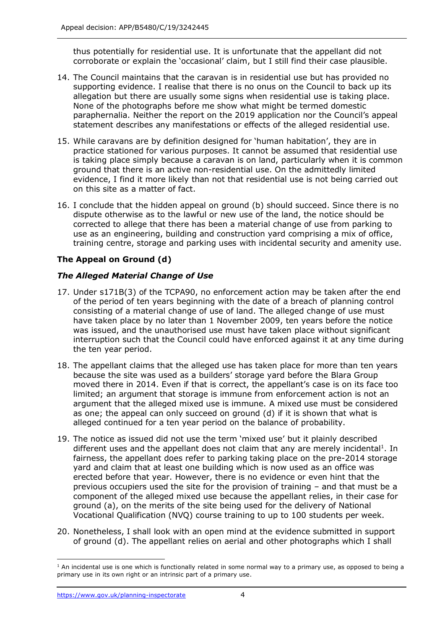thus potentially for residential use. It is unfortunate that the appellant did not corroborate or explain the 'occasional' claim, but I still find their case plausible.

- 14. The Council maintains that the caravan is in residential use but has provided no supporting evidence. I realise that there is no onus on the Council to back up its allegation but there are usually some signs when residential use is taking place. None of the photographs before me show what might be termed domestic paraphernalia. Neither the report on the 2019 application nor the Council's appeal statement describes any manifestations or effects of the alleged residential use.
- 15. While caravans are by definition designed for 'human habitation', they are in practice stationed for various purposes. It cannot be assumed that residential use is taking place simply because a caravan is on land, particularly when it is common ground that there is an active non-residential use. On the admittedly limited evidence, I find it more likely than not that residential use is not being carried out on this site as a matter of fact.
- 16. I conclude that the hidden appeal on ground (b) should succeed. Since there is no dispute otherwise as to the lawful or new use of the land, the notice should be corrected to allege that there has been a material change of use from parking to use as an engineering, building and construction yard comprising a mix of office, training centre, storage and parking uses with incidental security and amenity use.

## **The Appeal on Ground (d)**

## *The Alleged Material Change of Use*

- 17. Under s171B(3) of the TCPA90, no enforcement action may be taken after the end of the period of ten years beginning with the date of a breach of planning control consisting of a material change of use of land. The alleged change of use must have taken place by no later than 1 November 2009, ten years before the notice was issued, and the unauthorised use must have taken place without significant interruption such that the Council could have enforced against it at any time during the ten year period.
- 18. The appellant claims that the alleged use has taken place for more than ten years because the site was used as a builders' storage yard before the Blara Group moved there in 2014. Even if that is correct, the appellant's case is on its face too limited; an argument that storage is immune from enforcement action is not an argument that the alleged mixed use is immune. A mixed use must be considered as one; the appeal can only succeed on ground (d) if it is shown that what is alleged continued for a ten year period on the balance of probability.
- 19. The notice as issued did not use the term 'mixed use' but it plainly described different uses and the appellant does not claim that any are merely incidental<sup>1</sup>. In fairness, the appellant does refer to parking taking place on the pre-2014 storage yard and claim that at least one building which is now used as an office was erected before that year. However, there is no evidence or even hint that the previous occupiers used the site for the provision of training – and that must be a component of the alleged mixed use because the appellant relies, in their case for ground (a), on the merits of the site being used for the delivery of National Vocational Qualification (NVQ) course training to up to 100 students per week.
- 20. Nonetheless, I shall look with an open mind at the evidence submitted in support of ground (d). The appellant relies on aerial and other photographs which I shall

 $<sup>1</sup>$  An incidental use is one which is functionally related in some normal way to a primary use, as opposed to being a</sup> primary use in its own right or an intrinsic part of a primary use.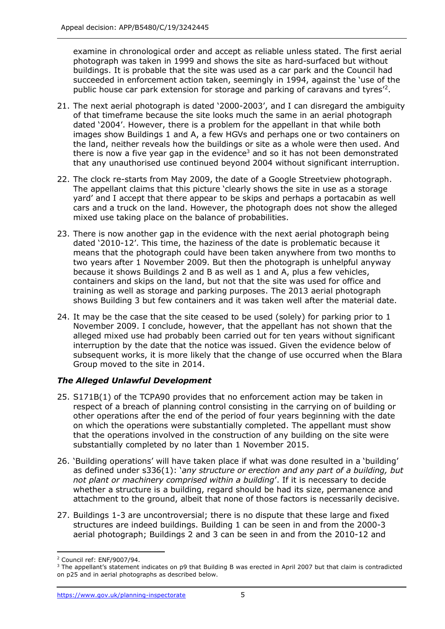examine in chronological order and accept as reliable unless stated. The first aerial photograph was taken in 1999 and shows the site as hard-surfaced but without buildings. It is probable that the site was used as a car park and the Council had succeeded in enforcement action taken, seemingly in 1994, against the 'use of the public house car park extension for storage and parking of caravans and tyres<sup>12</sup>.

- 21. The next aerial photograph is dated '2000-2003', and I can disregard the ambiguity of that timeframe because the site looks much the same in an aerial photograph dated '2004'. However, there is a problem for the appellant in that while both images show Buildings 1 and A, a few HGVs and perhaps one or two containers on the land, neither reveals how the buildings or site as a whole were then used. And there is now a five year gap in the evidence<sup>3</sup> and so it has not been demonstrated that any unauthorised use continued beyond 2004 without significant interruption.
- 22. The clock re-starts from May 2009, the date of a Google Streetview photograph. The appellant claims that this picture 'clearly shows the site in use as a storage yard' and I accept that there appear to be skips and perhaps a portacabin as well cars and a truck on the land. However, the photograph does not show the alleged mixed use taking place on the balance of probabilities.
- 23. There is now another gap in the evidence with the next aerial photograph being dated '2010-12'. This time, the haziness of the date is problematic because it means that the photograph could have been taken anywhere from two months to two years after 1 November 2009. But then the photograph is unhelpful anyway because it shows Buildings 2 and B as well as 1 and A, plus a few vehicles, containers and skips on the land, but not that the site was used for office and training as well as storage and parking purposes. The 2013 aerial photograph shows Building 3 but few containers and it was taken well after the material date.
- 24. It may be the case that the site ceased to be used (solely) for parking prior to 1 November 2009. I conclude, however, that the appellant has not shown that the alleged mixed use had probably been carried out for ten years without significant interruption by the date that the notice was issued. Given the evidence below of subsequent works, it is more likely that the change of use occurred when the Blara Group moved to the site in 2014.

## *The Alleged Unlawful Development*

- 25. S171B(1) of the TCPA90 provides that no enforcement action may be taken in respect of a breach of planning control consisting in the carrying on of building or other operations after the end of the period of four years beginning with the date on which the operations were substantially completed. The appellant must show that the operations involved in the construction of any building on the site were substantially completed by no later than 1 November 2015.
- 26. 'Building operations' will have taken place if what was done resulted in a 'building'  as defined under s336(1): '*any structure or erection and any part of a building, but not plant or machinery comprised within a building*'. If it is necessary to decide whether a structure is a building, regard should be had its size, permanence and attachment to the ground, albeit that none of those factors is necessarily decisive.
- 27. Buildings 1-3 are uncontroversial; there is no dispute that these large and fixed structures are indeed buildings. Building 1 can be seen in and from the 2000-3 aerial photograph; Buildings 2 and 3 can be seen in and from the 2010-12 and

<sup>2</sup> Council ref: ENF/9007/94.

 $3$  The appellant's statement indicates on p9 that Building B was erected in April 2007 but that claim is contradicted on p25 and in aerial photographs as described below.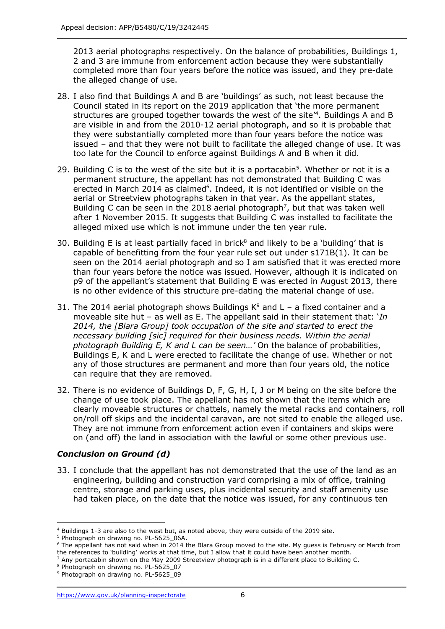2013 aerial photographs respectively. On the balance of probabilities, Buildings 1, 2 and 3 are immune from enforcement action because they were substantially completed more than four years before the notice was issued, and they pre-date the alleged change of use.

- 28. I also find that Buildings A and B are 'buildings' as such, not least because the Council stated in its report on the 2019 application that 'the more permanent structures are grouped together towards the west of the site<sup>14</sup>. Buildings A and B are visible in and from the 2010-12 aerial photograph, and so it is probable that they were substantially completed more than four years before the notice was issued – and that they were not built to facilitate the alleged change of use. It was too late for the Council to enforce against Buildings A and B when it did.
- 29. Building C is to the west of the site but it is a portacabin<sup>5</sup>. Whether or not it is a permanent structure, the appellant has not demonstrated that Building C was erected in March 2014 as claimed $6$ . Indeed, it is not identified or visible on the aerial or Streetview photographs taken in that year. As the appellant states, Building C can be seen in the 2018 aerial photograph<sup>7</sup>, but that was taken well after 1 November 2015. It suggests that Building C was installed to facilitate the alleged mixed use which is not immune under the ten year rule.
- 30. Building E is at least partially faced in brick<sup>8</sup> and likely to be a 'building' that is capable of benefitting from the four year rule set out under s171B(1). It can be seen on the 2014 aerial photograph and so I am satisfied that it was erected more than four years before the notice was issued. However, although it is indicated on p9 of the appellant's statement that Building E was erected in August 2013, there is no other evidence of this structure pre-dating the material change of use.
- 31. The 2014 aerial photograph shows Buildings  $K^9$  and L a fixed container and a moveable site hut – as well as E. The appellant said in their statement that: '*In 2014, the [Blara Group] took occupation of the site and started to erect the necessary building [sic] required for their business needs. Within the aerial photograph Building E, K and L can be seen…'* On the balance of probabilities, Buildings E, K and L were erected to facilitate the change of use. Whether or not any of those structures are permanent and more than four years old, the notice can require that they are removed.
- 32. There is no evidence of Buildings D, F, G, H, I, J or M being on the site before the change of use took place. The appellant has not shown that the items which are clearly moveable structures or chattels, namely the metal racks and containers, roll on/roll off skips and the incidental caravan, are not sited to enable the alleged use. They are not immune from enforcement action even if containers and skips were on (and off) the land in association with the lawful or some other previous use.

#### *Conclusion on Ground (d)*

 33. I conclude that the appellant has not demonstrated that the use of the land as an engineering, building and construction yard comprising a mix of office, training centre, storage and parking uses, plus incidental security and staff amenity use had taken place, on the date that the notice was issued, for any continuous ten

 $^4$  Buildings 1-3 are also to the west but, as noted above, they were outside of the 2019 site.<br>
<sup>5</sup> Photograph on drawing no. PL-5625\_06A.

<sup>&</sup>lt;sup>4</sup> Buildings 1-3 are also to the west but, as noted above, they were outside of the 2019 site.<br><sup>5</sup> Photograph on drawing no. PL-5625\_06A.<br><sup>6</sup> The appellant has not said when in 2014 the Blara Group moved to the site. My g the references to 'building' works at that time, but I allow that it could have been another month.

the references to `building' works at that time, but I allow that it could have been another month.<br><sup>7</sup> Any portacabin shown on the May 2009 Streetview photograph is in a different place to Building C.<br><sup>8</sup> Photograph on dr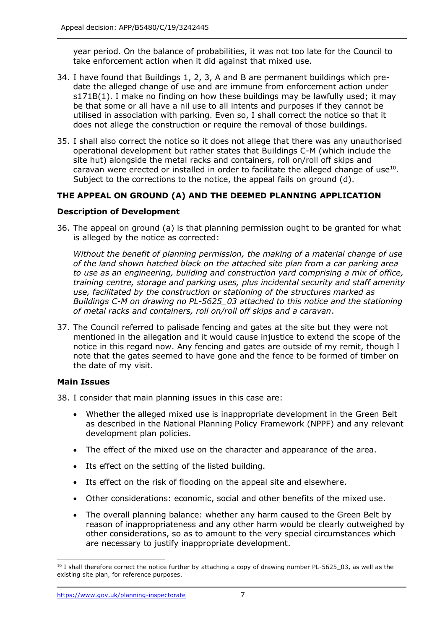year period. On the balance of probabilities, it was not too late for the Council to take enforcement action when it did against that mixed use.

- 34. I have found that Buildings 1, 2, 3, A and B are permanent buildings which pre- date the alleged change of use and are immune from enforcement action under s171B(1). I make no finding on how these buildings may be lawfully used; it may be that some or all have a nil use to all intents and purposes if they cannot be utilised in association with parking. Even so, I shall correct the notice so that it does not allege the construction or require the removal of those buildings.
- 35. I shall also correct the notice so it does not allege that there was any unauthorised operational development but rather states that Buildings C-M (which include the site hut) alongside the metal racks and containers, roll on/roll off skips and caravan were erected or installed in order to facilitate the alleged change of use $^{10}$ . Subject to the corrections to the notice, the appeal fails on ground (d).

### **THE APPEAL ON GROUND (A) AND THE DEEMED PLANNING APPLICATION**

#### **Description of Development**

 36. The appeal on ground (a) is that planning permission ought to be granted for what is alleged by the notice as corrected:

 *Without the benefit of planning permission, the making of a material change of use of the land shown hatched black on the attached site plan from a car parking area to use as an engineering, building and construction yard comprising a mix of office, training centre, storage and parking uses, plus incidental security and staff amenity use, facilitated by the construction or stationing of the structures marked as Buildings C-M on drawing no PL-5625\_03 attached to this notice and the stationing of metal racks and containers, roll on/roll off skips and a caravan*.

 37. The Council referred to palisade fencing and gates at the site but they were not mentioned in the allegation and it would cause injustice to extend the scope of the notice in this regard now. Any fencing and gates are outside of my remit, though I note that the gates seemed to have gone and the fence to be formed of timber on the date of my visit.

#### **Main Issues**

- 38. I consider that main planning issues in this case are:
	- • Whether the alleged mixed use is inappropriate development in the Green Belt as described in the National Planning Policy Framework (NPPF) and any relevant development plan policies.
	- The effect of the mixed use on the character and appearance of the area.
	- Its effect on the setting of the listed building.
	- Its effect on the risk of flooding on the appeal site and elsewhere.
	- Other considerations: economic, social and other benefits of the mixed use.
	- • The overall planning balance: whether any harm caused to the Green Belt by reason of inappropriateness and any other harm would be clearly outweighed by other considerations, so as to amount to the very special circumstances which are necessary to justify inappropriate development.

 $^{10}$  I shall therefore correct the notice further by attaching a copy of drawing number PL-5625\_03, as well as the existing site plan, for reference purposes.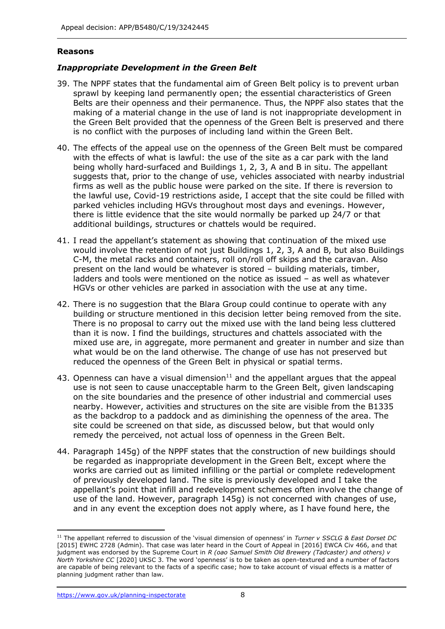#### **Reasons**

#### *Inappropriate Development in the Green Belt*

- 39. The NPPF states that the fundamental aim of Green Belt policy is to prevent urban sprawl by keeping land permanently open; the essential characteristics of Green Belts are their openness and their permanence. Thus, the NPPF also states that the making of a material change in the use of land is not inappropriate development in the Green Belt provided that the openness of the Green Belt is preserved and there is no conflict with the purposes of including land within the Green Belt.
- 40. The effects of the appeal use on the openness of the Green Belt must be compared with the effects of what is lawful: the use of the site as a car park with the land being wholly hard-surfaced and Buildings 1, 2, 3, A and B in situ. The appellant suggests that, prior to the change of use, vehicles associated with nearby industrial firms as well as the public house were parked on the site. If there is reversion to the lawful use, Covid-19 restrictions aside, I accept that the site could be filled with parked vehicles including HGVs throughout most days and evenings. However, there is little evidence that the site would normally be parked up 24/7 or that additional buildings, structures or chattels would be required.
- 41. I read the appellant's statement as showing that continuation of the mixed use would involve the retention of not just Buildings 1, 2, 3, A and B, but also Buildings C-M, the metal racks and containers, roll on/roll off skips and the caravan. Also present on the land would be whatever is stored – building materials, timber, ladders and tools were mentioned on the notice as issued – as well as whatever HGVs or other vehicles are parked in association with the use at any time.
- 42. There is no suggestion that the Blara Group could continue to operate with any building or structure mentioned in this decision letter being removed from the site. There is no proposal to carry out the mixed use with the land being less cluttered than it is now. I find the buildings, structures and chattels associated with the mixed use are, in aggregate, more permanent and greater in number and size than what would be on the land otherwise. The change of use has not preserved but reduced the openness of the Green Belt in physical or spatial terms.
- 43. Openness can have a visual dimension $11$  and the appellant argues that the appeal use is not seen to cause unacceptable harm to the Green Belt, given landscaping on the site boundaries and the presence of other industrial and commercial uses nearby. However, activities and structures on the site are visible from the B1335 as the backdrop to a paddock and as diminishing the openness of the area. The site could be screened on that side, as discussed below, but that would only remedy the perceived, not actual loss of openness in the Green Belt.
- 44. Paragraph 145g) of the NPPF states that the construction of new buildings should be regarded as inappropriate development in the Green Belt, except where the works are carried out as limited infilling or the partial or complete redevelopment of previously developed land. The site is previously developed and I take the appellant's point that infill and redevelopment schemes often involve the change of use of the land. However, paragraph 145g) is not concerned with changes of use, and in any event the exception does not apply where, as I have found here, the

 <sup>11</sup>The appellant referred to discussion of the 'visual dimension of openness' in *Turner v SSCLG & East Dorset DC*  [2015] EWHC 2728 (Admin). That case was later heard in the Court of Appeal in [2016] EWCA Civ 466, and that judgment was endorsed by the Supreme Court in *R (oao Samuel Smith Old Brewery (Tadcaster) and others) v North Yorkshire CC* [2020] UKSC 3. The word 'openness' is to be taken as open-textured and a number of factors are capable of being relevant to the facts of a specific case; how to take account of visual effects is a matter of planning judgment rather than law.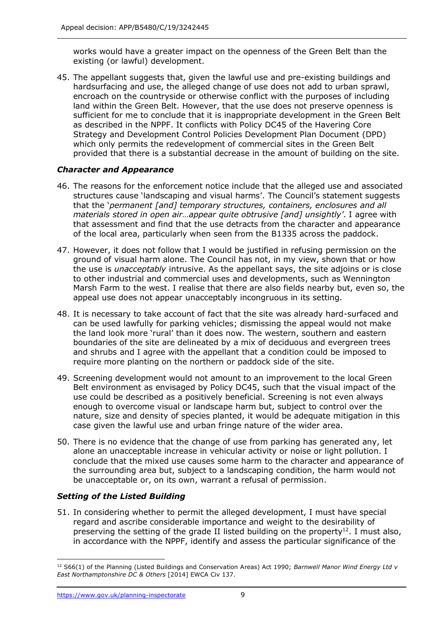works would have a greater impact on the openness of the Green Belt than the existing (or lawful) development.

 45. The appellant suggests that, given the lawful use and pre-existing buildings and hardsurfacing and use, the alleged change of use does not add to urban sprawl, encroach on the countryside or otherwise conflict with the purposes of including land within the Green Belt. However, that the use does not preserve openness is sufficient for me to conclude that it is inappropriate development in the Green Belt as described in the NPPF. It conflicts with Policy DC45 of the Havering Core Strategy and Development Control Policies Development Plan Document (DPD) which only permits the redevelopment of commercial sites in the Green Belt provided that there is a substantial decrease in the amount of building on the site.

## *Character and Appearance*

- 46. The reasons for the enforcement notice include that the alleged use and associated structures cause 'landscaping and visual harms'. The Council's statement suggests  that the '*permanent [and] temporary structures, containers, enclosures and all materials stored in open air…appear quite obtrusive [and] unsightly'*. I agree with that assessment and find that the use detracts from the character and appearance of the local area, particularly when seen from the B1335 across the paddock.
- 47. However, it does not follow that I would be justified in refusing permission on the ground of visual harm alone. The Council has not, in my view, shown that or how the use is *unacceptably* intrusive. As the appellant says, the site adjoins or is close to other industrial and commercial uses and developments, such as Wennington Marsh Farm to the west. I realise that there are also fields nearby but, even so, the appeal use does not appear unacceptably incongruous in its setting.
- 48. It is necessary to take account of fact that the site was already hard-surfaced and can be used lawfully for parking vehicles; dismissing the appeal would not make the land look more 'rural' than it does now. The western, southern and eastern boundaries of the site are delineated by a mix of deciduous and evergreen trees and shrubs and I agree with the appellant that a condition could be imposed to require more planting on the northern or paddock side of the site.
- 49. Screening development would not amount to an improvement to the local Green Belt environment as envisaged by Policy DC45, such that the visual impact of the use could be described as a positively beneficial. Screening is not even always enough to overcome visual or landscape harm but, subject to control over the nature, size and density of species planted, it would be adequate mitigation in this case given the lawful use and urban fringe nature of the wider area.
- 50. There is no evidence that the change of use from parking has generated any, let alone an unacceptable increase in vehicular activity or noise or light pollution. I conclude that the mixed use causes some harm to the character and appearance of the surrounding area but, subject to a landscaping condition, the harm would not be unacceptable or, on its own, warrant a refusal of permission.

## *Setting of the Listed Building*

 51. In considering whether to permit the alleged development, I must have special regard and ascribe considerable importance and weight to the desirability of preserving the setting of the grade II listed building on the property<sup>12</sup>. I must also, in accordance with the NPPF, identify and assess the particular significance of the

 12 S66(1) of the Planning (Listed Buildings and Conservation Areas) Act 1990; *Barnwell Manor Wind Energy Ltd v East Northamptonshire DC & Others* [2014] EWCA Civ 137.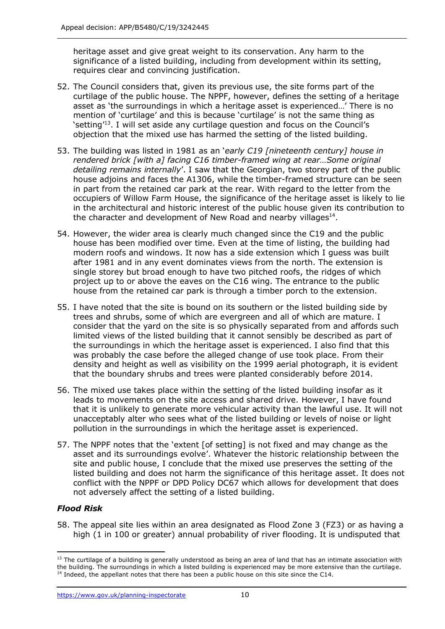heritage asset and give great weight to its conservation. Any harm to the significance of a listed building, including from development within its setting, requires clear and convincing justification.

- 52. The Council considers that, given its previous use, the site forms part of the curtilage of the public house. The NPPF, however, defines the setting of a heritage asset as 'the surroundings in which a heritage asset is experienced…' There is no mention of 'curtilage' and this is because 'curtilage' is not the same thing as 'setting<sup>'13</sup>. I will set aside any curtilage question and focus on the Council's objection that the mixed use has harmed the setting of the listed building.
- 53. The building was listed in 1981 as an '*early C19 [nineteenth century] house in rendered brick [with a] facing C16 timber-framed wing at rear…Some original detailing remains internally*'. I saw that the Georgian, two storey part of the public house adjoins and faces the A1306, while the timber-framed structure can be seen in part from the retained car park at the rear. With regard to the letter from the occupiers of Willow Farm House, the significance of the heritage asset is likely to lie in the architectural and historic interest of the public house given its contribution to the character and development of New Road and nearby villages $^{14}$ .
- 54. However, the wider area is clearly much changed since the C19 and the public house has been modified over time. Even at the time of listing, the building had modern roofs and windows. It now has a side extension which I guess was built after 1981 and in any event dominates views from the north. The extension is single storey but broad enough to have two pitched roofs, the ridges of which project up to or above the eaves on the C16 wing. The entrance to the public house from the retained car park is through a timber porch to the extension.
- 55. I have noted that the site is bound on its southern or the listed building side by trees and shrubs, some of which are evergreen and all of which are mature. I consider that the yard on the site is so physically separated from and affords such limited views of the listed building that it cannot sensibly be described as part of the surroundings in which the heritage asset is experienced. I also find that this was probably the case before the alleged change of use took place. From their density and height as well as visibility on the 1999 aerial photograph, it is evident that the boundary shrubs and trees were planted considerably before 2014.
- 56. The mixed use takes place within the setting of the listed building insofar as it leads to movements on the site access and shared drive. However, I have found that it is unlikely to generate more vehicular activity than the lawful use. It will not unacceptably alter who sees what of the listed building or levels of noise or light pollution in the surroundings in which the heritage asset is experienced.
- 57. The NPPF notes that the 'extent [of setting] is not fixed and may change as the asset and its surroundings evolve'. Whatever the historic relationship between the site and public house, I conclude that the mixed use preserves the setting of the listed building and does not harm the significance of this heritage asset. It does not conflict with the NPPF or DPD Policy DC67 which allows for development that does not adversely affect the setting of a listed building.

## *Flood Risk*

 58. The appeal site lies within an area designated as Flood Zone 3 (FZ3) or as having a high (1 in 100 or greater) annual probability of river flooding. It is undisputed that

<https://www.gov.uk/planning-inspectorate>10

 $<sup>13</sup>$  The curtilage of a building is generally understood as being an area of land that has an intimate association with</sup> the building. The surroundings in which a listed building is experienced may be more extensive than the curtilage.<br><sup>14</sup> Indeed, the appellant notes that there has been a public house on this site since the C14. <sup>14</sup> Indeed, the appellant notes that there has been a public house on this site since the C14.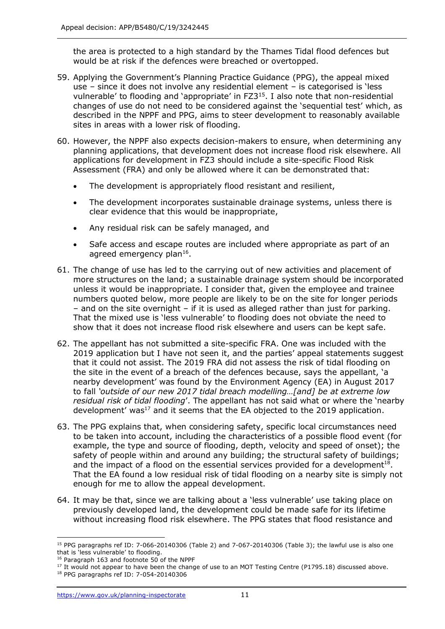the area is protected to a high standard by the Thames Tidal flood defences but would be at risk if the defences were breached or overtopped.

- 59. Applying the Government's Planning Practice Guidance (PPG), the appeal mixed use – since it does not involve any residential element – is categorised is 'less vulnerable' to flooding and 'appropriate' in FZ3<sup>15</sup>. I also note that non-residential changes of use do not need to be considered against the 'sequential test' which, as described in the NPPF and PPG, aims to steer development to reasonably available sites in areas with a lower risk of flooding.
- 60. However, the NPPF also expects decision-makers to ensure, when determining any planning applications, that development does not increase flood risk elsewhere. All applications for development in FZ3 should include a site-specific Flood Risk Assessment (FRA) and only be allowed where it can be demonstrated that:
	- The development is appropriately flood resistant and resilient,
	- • The development incorporates sustainable drainage systems, unless there is clear evidence that this would be inappropriate,
	- Any residual risk can be safely managed, and
	- • Safe access and escape routes are included where appropriate as part of an agreed emergency plan<sup>16</sup>.
- 61. The change of use has led to the carrying out of new activities and placement of more structures on the land; a sustainable drainage system should be incorporated unless it would be inappropriate. I consider that, given the employee and trainee numbers quoted below, more people are likely to be on the site for longer periods – and on the site overnight – if it is used as alleged rather than just for parking. That the mixed use is 'less vulnerable' to flooding does not obviate the need to show that it does not increase flood risk elsewhere and users can be kept safe.
- 62. The appellant has not submitted a site-specific FRA. One was included with the 2019 application but I have not seen it, and the parties' appeal statements suggest that it could not assist. The 2019 FRA did not assess the risk of tidal flooding on the site in the event of a breach of the defences because, says the appellant, 'a nearby development' was found by the Environment Agency (EA) in August 2017 to fall *'outside of our new 2017 tidal breach modelling…[and] be at extreme low residual risk of tidal flooding*'. The appellant has not said what or where the 'nearby development' was<sup>17</sup> and it seems that the EA objected to the 2019 application.
- 63. The PPG explains that, when considering safety, specific local circumstances need to be taken into account, including the characteristics of a possible flood event (for example, the type and source of flooding, depth, velocity and speed of onset); the safety of people within and around any building; the structural safety of buildings; and the impact of a flood on the essential services provided for a development $18$ . That the EA found a low residual risk of tidal flooding on a nearby site is simply not enough for me to allow the appeal development.
- 64. It may be that, since we are talking about a 'less vulnerable' use taking place on previously developed land, the development could be made safe for its lifetime without increasing flood risk elsewhere. The PPG states that flood resistance and

<sup>&</sup>lt;sup>15</sup> PPG paragraphs ref ID: 7-066-20140306 (Table 2) and 7-067-20140306 (Table 3); the lawful use is also one

<sup>&</sup>lt;sup>16</sup> Paragraph 163 and footnote 50 of the NPPF

that is 'less vulnerable' to flooding.<br><sup>16</sup> Paragraph 163 and footnote 50 of the NPPF<br><sup>17</sup> It would not appear to have been the change of use to an MOT Testing Centre (P1795.18) discussed above.<br><sup>18</sup> PPG paragraphs ref ID:

<sup>&</sup>lt;sup>18</sup> PPG paragraphs ref ID: 7-054-20140306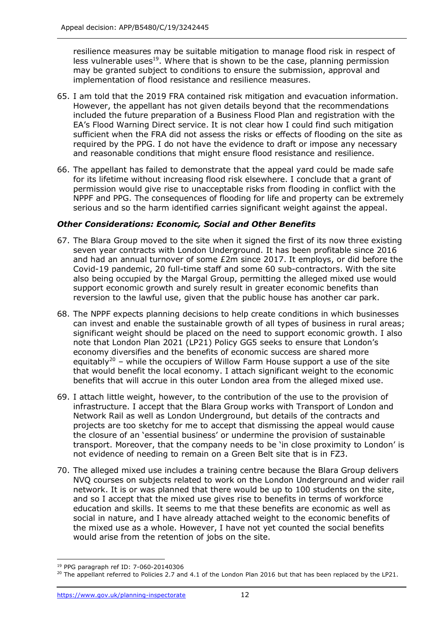resilience measures may be suitable mitigation to manage flood risk in respect of less vulnerable uses<sup>19</sup>. Where that is shown to be the case, planning permission may be granted subject to conditions to ensure the submission, approval and implementation of flood resistance and resilience measures.

- 65. I am told that the 2019 FRA contained risk mitigation and evacuation information. However, the appellant has not given details beyond that the recommendations included the future preparation of a Business Flood Plan and registration with the EA's Flood Warning Direct service. It is not clear how I could find such mitigation sufficient when the FRA did not assess the risks or effects of flooding on the site as required by the PPG. I do not have the evidence to draft or impose any necessary and reasonable conditions that might ensure flood resistance and resilience.
- 66. The appellant has failed to demonstrate that the appeal yard could be made safe for its lifetime without increasing flood risk elsewhere. I conclude that a grant of permission would give rise to unacceptable risks from flooding in conflict with the NPPF and PPG. The consequences of flooding for life and property can be extremely serious and so the harm identified carries significant weight against the appeal.

### *Other Considerations: Economic, Social and Other Benefits*

- 67. The Blara Group moved to the site when it signed the first of its now three existing seven year contracts with London Underground. It has been profitable since 2016 and had an annual turnover of some £2m since 2017. It employs, or did before the Covid-19 pandemic, 20 full-time staff and some 60 sub-contractors. With the site also being occupied by the Margal Group, permitting the alleged mixed use would support economic growth and surely result in greater economic benefits than reversion to the lawful use, given that the public house has another car park.
- 68. The NPPF expects planning decisions to help create conditions in which businesses can invest and enable the sustainable growth of all types of business in rural areas; significant weight should be placed on the need to support economic growth. I also note that London Plan 2021 (LP21) Policy GG5 seeks to ensure that London's economy diversifies and the benefits of economic success are shared more equitably<sup>20</sup> – while the occupiers of Willow Farm House support a use of the site that would benefit the local economy. I attach significant weight to the economic benefits that will accrue in this outer London area from the alleged mixed use.
- 69. I attach little weight, however, to the contribution of the use to the provision of infrastructure. I accept that the Blara Group works with Transport of London and Network Rail as well as London Underground, but details of the contracts and projects are too sketchy for me to accept that dismissing the appeal would cause the closure of an 'essential business' or undermine the provision of sustainable transport. Moreover, that the company needs to be 'in close proximity to London' is not evidence of needing to remain on a Green Belt site that is in FZ3.
- 70. The alleged mixed use includes a training centre because the Blara Group delivers NVQ courses on subjects related to work on the London Underground and wider rail network. It is or was planned that there would be up to 100 students on the site, and so I accept that the mixed use gives rise to benefits in terms of workforce education and skills. It seems to me that these benefits are economic as well as social in nature, and I have already attached weight to the economic benefits of the mixed use as a whole. However, I have not yet counted the social benefits would arise from the retention of jobs on the site.

<sup>&</sup>lt;sup>19</sup> PPG paragraph ref ID: 7-060-20140306

 $^{19}$  PPG paragraph ref ID: 7-060-20140306<br><sup>20</sup> The appellant referred to Policies 2.7 and 4.1 of the London Plan 2016 but that has been replaced by the LP21.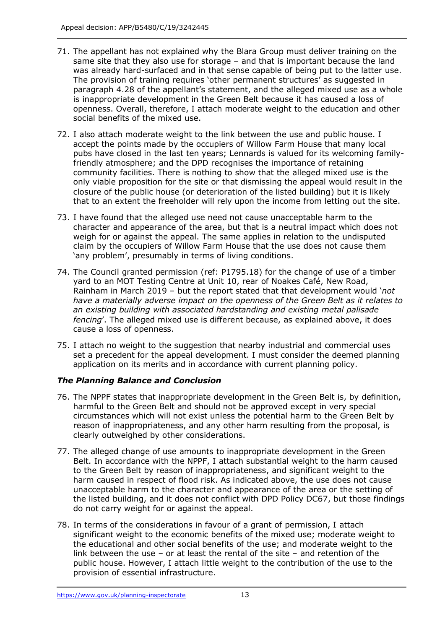- 71. The appellant has not explained why the Blara Group must deliver training on the same site that they also use for storage – and that is important because the land was already hard-surfaced and in that sense capable of being put to the latter use. The provision of training requires 'other permanent structures' as suggested in paragraph 4.28 of the appellant's statement, and the alleged mixed use as a whole is inappropriate development in the Green Belt because it has caused a loss of openness. Overall, therefore, I attach moderate weight to the education and other social benefits of the mixed use.
- 72. I also attach moderate weight to the link between the use and public house. I accept the points made by the occupiers of Willow Farm House that many local pubs have closed in the last ten years; Lennards is valued for its welcoming family- friendly atmosphere; and the DPD recognises the importance of retaining community facilities. There is nothing to show that the alleged mixed use is the only viable proposition for the site or that dismissing the appeal would result in the closure of the public house (or deterioration of the listed building) but it is likely that to an extent the freeholder will rely upon the income from letting out the site.
- 73. I have found that the alleged use need not cause unacceptable harm to the character and appearance of the area, but that is a neutral impact which does not weigh for or against the appeal. The same applies in relation to the undisputed claim by the occupiers of Willow Farm House that the use does not cause them 'any problem', presumably in terms of living conditions.
- 74. The Council granted permission (ref: P1795.18) for the change of use of a timber yard to an MOT Testing Centre at Unit 10, rear of Noakes Café, New Road, Rainham in March 2019 – but the report stated that that development would '*not have a materially adverse impact on the openness of the Green Belt as it relates to an existing building with associated hardstanding and existing metal palisade fencing*'. The alleged mixed use is different because, as explained above, it does cause a loss of openness.
- 75. I attach no weight to the suggestion that nearby industrial and commercial uses set a precedent for the appeal development. I must consider the deemed planning application on its merits and in accordance with current planning policy.

## *The Planning Balance and Conclusion*

- 76. The NPPF states that inappropriate development in the Green Belt is, by definition, harmful to the Green Belt and should not be approved except in very special circumstances which will not exist unless the potential harm to the Green Belt by reason of inappropriateness, and any other harm resulting from the proposal, is clearly outweighed by other considerations.
- 77. The alleged change of use amounts to inappropriate development in the Green Belt. In accordance with the NPPF, I attach substantial weight to the harm caused to the Green Belt by reason of inappropriateness, and significant weight to the harm caused in respect of flood risk. As indicated above, the use does not cause unacceptable harm to the character and appearance of the area or the setting of the listed building, and it does not conflict with DPD Policy DC67, but those findings do not carry weight for or against the appeal.
- 78. In terms of the considerations in favour of a grant of permission, I attach significant weight to the economic benefits of the mixed use; moderate weight to the educational and other social benefits of the use; and moderate weight to the link between the use – or at least the rental of the site – and retention of the public house. However, I attach little weight to the contribution of the use to the provision of essential infrastructure.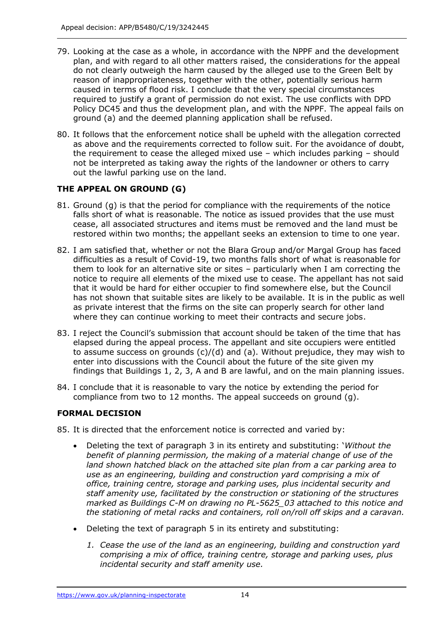- 79. Looking at the case as a whole, in accordance with the NPPF and the development plan, and with regard to all other matters raised, the considerations for the appeal do not clearly outweigh the harm caused by the alleged use to the Green Belt by reason of inappropriateness, together with the other, potentially serious harm caused in terms of flood risk. I conclude that the very special circumstances required to justify a grant of permission do not exist. The use conflicts with DPD Policy DC45 and thus the development plan, and with the NPPF. The appeal fails on ground (a) and the deemed planning application shall be refused.
- 80. It follows that the enforcement notice shall be upheld with the allegation corrected as above and the requirements corrected to follow suit. For the avoidance of doubt, the requirement to cease the alleged mixed use – which includes parking – should not be interpreted as taking away the rights of the landowner or others to carry out the lawful parking use on the land.

## **THE APPEAL ON GROUND (G)**

- 81. Ground (g) is that the period for compliance with the requirements of the notice falls short of what is reasonable. The notice as issued provides that the use must cease, all associated structures and items must be removed and the land must be restored within two months; the appellant seeks an extension to time to one year.
- 82. I am satisfied that, whether or not the Blara Group and/or Margal Group has faced difficulties as a result of Covid-19, two months falls short of what is reasonable for them to look for an alternative site or sites – particularly when I am correcting the notice to require all elements of the mixed use to cease. The appellant has not said that it would be hard for either occupier to find somewhere else, but the Council has not shown that suitable sites are likely to be available. It is in the public as well as private interest that the firms on the site can properly search for other land where they can continue working to meet their contracts and secure jobs.
- 83. I reject the Council's submission that account should be taken of the time that has elapsed during the appeal process. The appellant and site occupiers were entitled to assume success on grounds (c)/(d) and (a). Without prejudice, they may wish to enter into discussions with the Council about the future of the site given my findings that Buildings 1, 2, 3, A and B are lawful, and on the main planning issues.
- 84. I conclude that it is reasonable to vary the notice by extending the period for compliance from two to 12 months. The appeal succeeds on ground (g).

## **FORMAL DECISION**

- 85. It is directed that the enforcement notice is corrected and varied by:
	- • Deleting the text of paragraph 3 in its entirety and substituting: '*Without the benefit of planning permission, the making of a material change of use of the land shown hatched black on the attached site plan from a car parking area to*  use as an engineering, building and construction yard comprising a mix of  *office, training centre, storage and parking uses, plus incidental security and staff amenity use, facilitated by the construction or stationing of the structures marked as Buildings C-M on drawing no PL-5625\_03 attached to this notice and the stationing of metal racks and containers, roll on/roll off skips and a caravan.*
	- • Deleting the text of paragraph 5 in its entirety and substituting:
		- *1. Cease the use of the land as an engineering, building and construction yard comprising a mix of office, training centre, storage and parking uses, plus incidental security and staff amenity use.*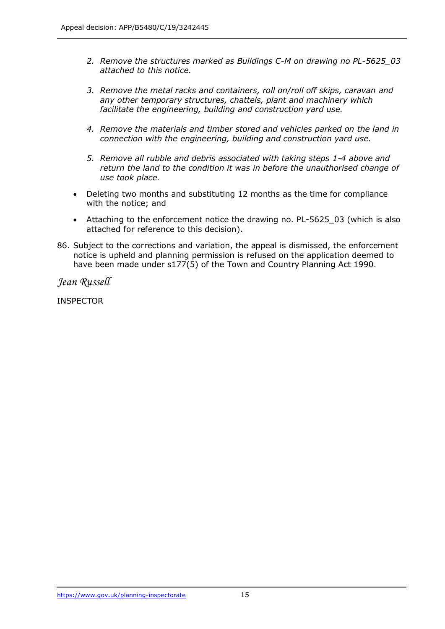- *2. Remove the structures marked as Buildings C-M on drawing no PL-5625\_03 attached to this notice.*
- *3. Remove the metal racks and containers, roll on/roll off skips, caravan and any other temporary structures, chattels, plant and machinery which facilitate the engineering, building and construction yard use.*
- *4. Remove the materials and timber stored and vehicles parked on the land in connection with the engineering, building and construction yard use.*
- *5. Remove all rubble and debris associated with taking steps 1-4 above and return the land to the condition it was in before the unauthorised change of use took place.*
- • Deleting two months and substituting 12 months as the time for compliance with the notice; and
- • Attaching to the enforcement notice the drawing no. PL-5625\_03 (which is also attached for reference to this decision).
- 86. Subject to the corrections and variation, the appeal is dismissed, the enforcement notice is upheld and planning permission is refused on the application deemed to have been made under s177(5) of the Town and Country Planning Act 1990.

*Jean Russell* 

INSPECTOR